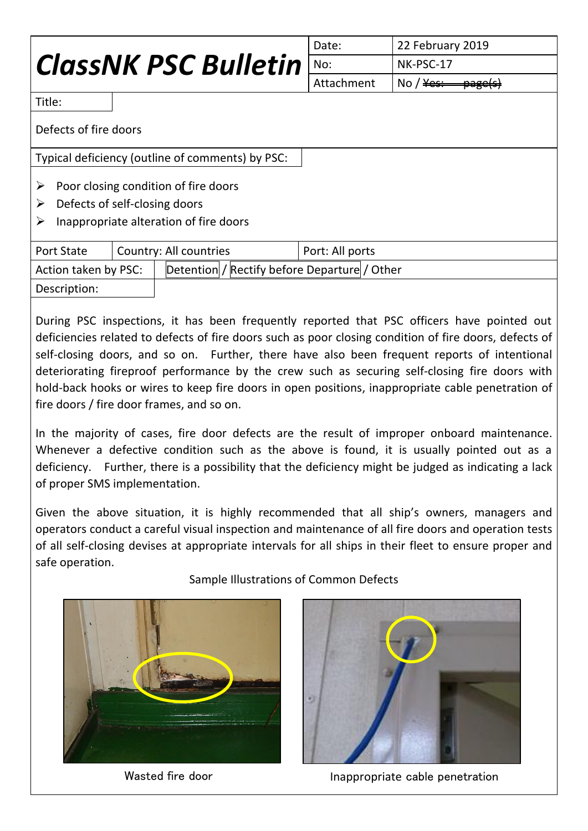|                                                                                                                 |                        | Date:           | 22 February 2019                         |  |
|-----------------------------------------------------------------------------------------------------------------|------------------------|-----------------|------------------------------------------|--|
| <b>ClassNK PSC Bulletin</b>                                                                                     |                        | No:             | NK-PSC-17                                |  |
|                                                                                                                 |                        | Attachment      | No / $\frac{y}{x}$<br><del>page(s)</del> |  |
| Title:                                                                                                          |                        |                 |                                          |  |
| Defects of fire doors                                                                                           |                        |                 |                                          |  |
| Typical deficiency (outline of comments) by PSC:                                                                |                        |                 |                                          |  |
| Poor closing condition of fire doors<br>Defects of self-closing doors<br>Inappropriate alteration of fire doors |                        |                 |                                          |  |
|                                                                                                                 |                        |                 |                                          |  |
| <b>Port State</b>                                                                                               | Country: All countries | Port: All ports |                                          |  |
|                                                                                                                 |                        |                 |                                          |  |

| Action taken by PSC: | Detention / Rectify before Departure / Other |
|----------------------|----------------------------------------------|
| Description:         |                                              |

During PSC inspections, it has been frequently reported that PSC officers have pointed out deficiencies related to defects of fire doors such as poor closing condition of fire doors, defects of self-closing doors, and so on. Further, there have also been frequent reports of intentional deteriorating fireproof performance by the crew such as securing self-closing fire doors with hold-back hooks or wires to keep fire doors in open positions, inappropriate cable penetration of fire doors / fire door frames, and so on.

In the majority of cases, fire door defects are the result of improper onboard maintenance. Whenever a defective condition such as the above is found, it is usually pointed out as a deficiency. Further, there is a possibility that the deficiency might be judged as indicating a lack of proper SMS implementation.

Given the above situation, it is highly recommended that all ship's owners, managers and operators conduct a careful visual inspection and maintenance of all fire doors and operation tests of all self-closing devises at appropriate intervals for all ships in their fleet to ensure proper and safe operation.



Sample Illustrations of Common Defects



Wasted fire door **Inappropriate cable penetration**